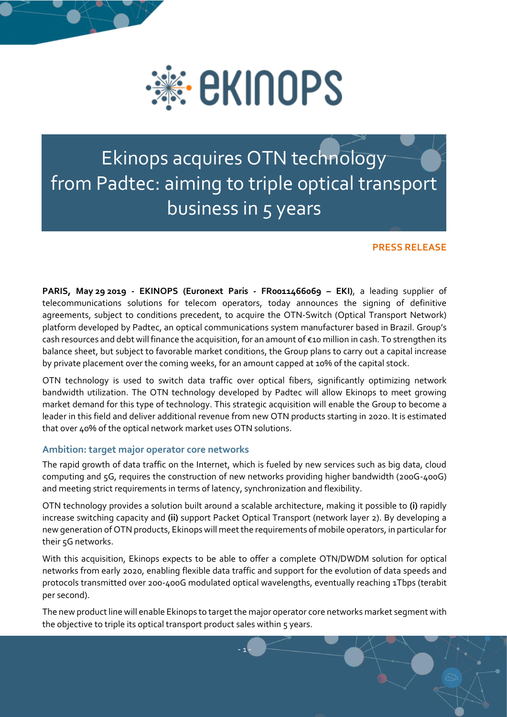

# Ekinops acquires OTN technology from Padtec: aiming to triple optical transport business in 5 years

## **PRESS RELEASE**

**PARIS, May 29 2019 - EKINOPS (Euronext Paris - FR0011466069 – EKI)**, a leading supplier of telecommunications solutions for telecom operators, today announces the signing of definitive agreements, subject to conditions precedent, to acquire the OTN-Switch (Optical Transport Network) platform developed by Padtec, an optical communications system manufacturer based in Brazil. Group's cash resources and debt will finance the acquisition, for an amount of €10 million in cash. To strengthen its balance sheet, but subject to favorable market conditions, the Group plans to carry out a capital increase by private placement over the coming weeks, for an amount capped at 10% of the capital stock.

OTN technology is used to switch data traffic over optical fibers, significantly optimizing network bandwidth utilization. The OTN technology developed by Padtec will allow Ekinops to meet growing market demand for this type of technology. This strategic acquisition will enable the Group to become a leader in this field and deliver additional revenue from new OTN products starting in 2020. It is estimated that over 40% of the optical network market uses OTN solutions.

## **Ambition: target major operator core networks**

The rapid growth of data traffic on the Internet, which is fueled by new services such as big data, cloud computing and 5G, requires the construction of new networks providing higher bandwidth (200G-400G) and meeting strict requirements in terms of latency, synchronization and flexibility.

OTN technology provides a solution built around a scalable architecture, making it possible to **(i)** rapidly increase switching capacity and **(ii)** support Packet Optical Transport (network layer 2). By developing a new generation of OTN products, Ekinops will meet the requirements of mobile operators, in particular for their 5G networks.

With this acquisition, Ekinops expects to be able to offer a complete OTN/DWDM solution for optical networks from early 2020, enabling flexible data traffic and support for the evolution of data speeds and protocols transmitted over 200-400G modulated optical wavelengths, eventually reaching 1Tbps (terabit per second).

The new product line will enable Ekinops to target the major operator core networks market segment with the objective to triple its optical transport product sales within 5 years.

- 1 -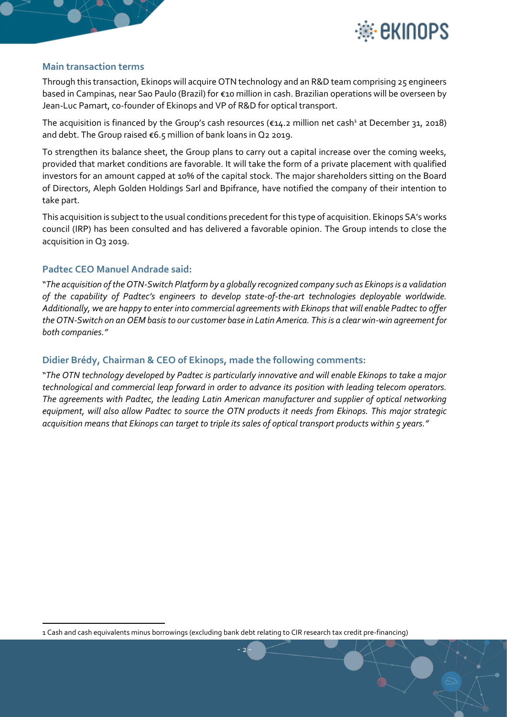

#### **Main transaction terms**

Through this transaction, Ekinops will acquire OTN technology and an R&D team comprising 25 engineers based in Campinas, near Sao Paulo (Brazil) for €10 million in cash. Brazilian operations will be overseen by Jean-Luc Pamart, co-founder of Ekinops and VP of R&D for optical transport.

The acquisition is financed by the Group's cash resources ( $\epsilon$ 14.2 million net cash<sup>1</sup> at December 31, 2018) and debt. The Group raised €6.5 million of bank loans in Q2 2019.

To strengthen its balance sheet, the Group plans to carry out a capital increase over the coming weeks, provided that market conditions are favorable. It will take the form of a private placement with qualified investors for an amount capped at 10% of the capital stock. The major shareholders sitting on the Board of Directors, Aleph Golden Holdings Sarl and Bpifrance, have notified the company of their intention to take part.

This acquisition is subject to the usual conditions precedent for this type of acquisition. Ekinops SA's works council (IRP) has been consulted and has delivered a favorable opinion. The Group intends to close the acquisition in Q3 2019.

## **Padtec CEO Manuel Andrade said:**

 $\ddot{\phantom{a}}$ 

"*The acquisition of the OTN-Switch Platform by a globally recognized company such as Ekinops is a validation of the capability of Padtec's engineers to develop state-of-the-art technologies deployable worldwide. Additionally, we are happy to enter into commercial agreements with Ekinops that will enable Padtec to offer the OTN-Switch on an OEM basis to our customer base in Latin America. This is a clear win-win agreement for both companies."*

#### **Didier Brédy, Chairman & CEO of Ekinops, made the following comments:**

"*The OTN technology developed by Padtec is particularly innovative and will enable Ekinops to take a major technological and commercial leap forward in order to advance its position with leading telecom operators. The agreements with Padtec, the leading Latin American manufacturer and supplier of optical networking equipment, will also allow Padtec to source the OTN products it needs from Ekinops. This major strategic acquisition means that Ekinops can target to triple its sales of optical transport products within 5 years."*

- 2 -

<sup>1</sup> Cash and cash equivalents minus borrowings (excluding bank debt relating to CIR research tax credit pre-financing)